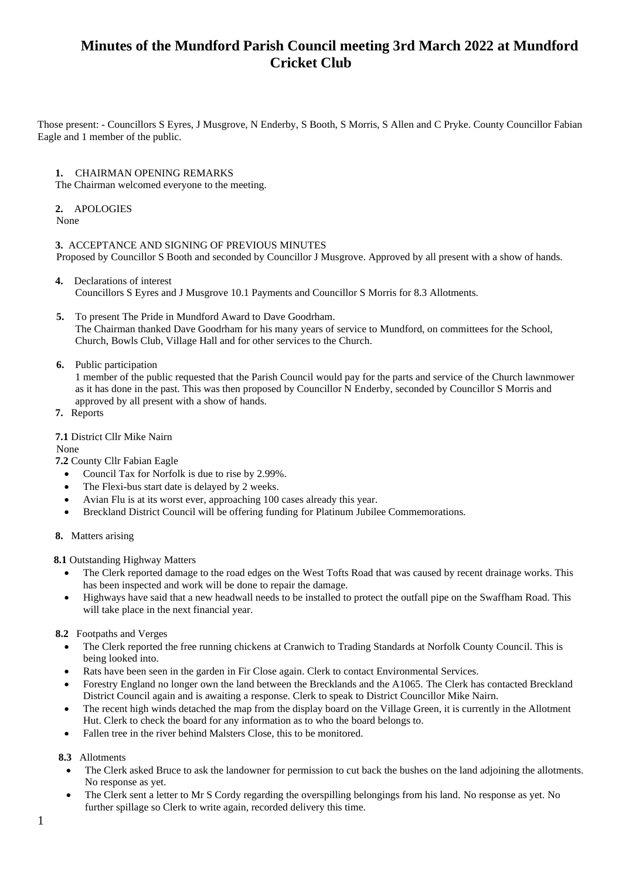Those present: - Councillors S Eyres, J Musgrove, N Enderby, S Booth, S Morris, S Allen and C Pryke. County Councillor Fabian Eagle and 1 member of the public.

#### **1.** CHAIRMAN OPENING REMARKS

The Chairman welcomed everyone to the meeting.

### **2.** APOLOGIES

None

### **3.** ACCEPTANCE AND SIGNING OF PREVIOUS MINUTES

Proposed by Councillor S Booth and seconded by Councillor J Musgrove. Approved by all present with a show of hands.

- **4.** Declarations of interest Councillors S Eyres and J Musgrove 10.1 Payments and Councillor S Morris for 8.3 Allotments.
- **5.** To present The Pride in Mundford Award to Dave Goodrham. The Chairman thanked Dave Goodrham for his many years of service to Mundford, on committees for the School, Church, Bowls Club, Village Hall and for other services to the Church.
- **6.** Public participation

1 member of the public requested that the Parish Council would pay for the parts and service of the Church lawnmower as it has done in the past. This was then proposed by Councillor N Enderby, seconded by Councillor S Morris and approved by all present with a show of hands.

**7.** Reports

## **7.1** District Cllr Mike Nairn

None

**7.2** County Cllr Fabian Eagle

- Council Tax for Norfolk is due to rise by 2.99%.
- The Flexi-bus start date is delayed by 2 weeks.
- Avian Flu is at its worst ever, approaching 100 cases already this year.
- Breckland District Council will be offering funding for Platinum Jubilee Commemorations.

#### **8.** Matters arising

**8.1** Outstanding Highway Matters

- The Clerk reported damage to the road edges on the West Tofts Road that was caused by recent drainage works. This has been inspected and work will be done to repair the damage.
- Highways have said that a new headwall needs to be installed to protect the outfall pipe on the Swaffham Road. This will take place in the next financial year.

# **8.2** Footpaths and Verges

- The Clerk reported the free running chickens at Cranwich to Trading Standards at Norfolk County Council. This is being looked into.
- Rats have been seen in the garden in Fir Close again. Clerk to contact Environmental Services.
- Forestry England no longer own the land between the Brecklands and the A1065. The Clerk has contacted Breckland District Council again and is awaiting a response. Clerk to speak to District Councillor Mike Nairn.
- The recent high winds detached the map from the display board on the Village Green, it is currently in the Allotment Hut. Clerk to check the board for any information as to who the board belongs to.
- Fallen tree in the river behind Malsters Close, this to be monitored.

# **8.3** Allotments

- The Clerk asked Bruce to ask the landowner for permission to cut back the bushes on the land adjoining the allotments. No response as yet.
- The Clerk sent a letter to Mr S Cordy regarding the overspilling belongings from his land. No response as yet. No further spillage so Clerk to write again, recorded delivery this time.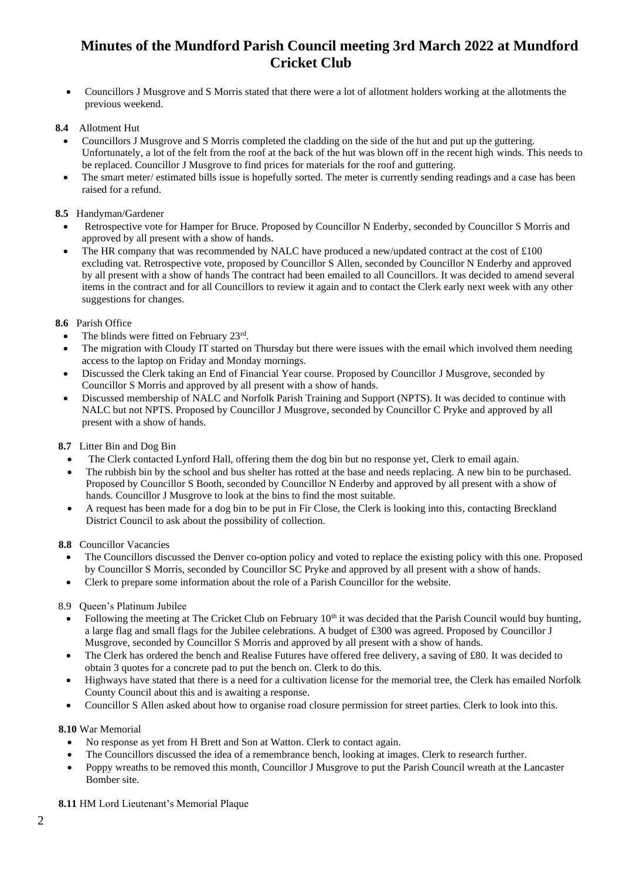• Councillors J Musgrove and S Morris stated that there were a lot of allotment holders working at the allotments the previous weekend.

### **8.4** Allotment Hut

- Councillors J Musgrove and S Morris completed the cladding on the side of the hut and put up the guttering. Unfortunately, a lot of the felt from the roof at the back of the hut was blown off in the recent high winds. This needs to be replaced. Councillor J Musgrove to find prices for materials for the roof and guttering.
- The smart meter/ estimated bills issue is hopefully sorted. The meter is currently sending readings and a case has been raised for a refund.

#### **8.5** Handyman/Gardener

- Retrospective vote for Hamper for Bruce. Proposed by Councillor N Enderby, seconded by Councillor S Morris and approved by all present with a show of hands.
- The HR company that was recommended by NALC have produced a new/updated contract at the cost of £100 excluding vat. Retrospective vote, proposed by Councillor S Allen, seconded by Councillor N Enderby and approved by all present with a show of hands The contract had been emailed to all Councillors. It was decided to amend several items in the contract and for all Councillors to review it again and to contact the Clerk early next week with any other suggestions for changes.

### **8.6** Parish Office

- The blinds were fitted on February 23rd.
- The migration with Cloudy IT started on Thursday but there were issues with the email which involved them needing access to the laptop on Friday and Monday mornings.
- Discussed the Clerk taking an End of Financial Year course. Proposed by Councillor J Musgrove, seconded by Councillor S Morris and approved by all present with a show of hands.
- Discussed membership of NALC and Norfolk Parish Training and Support (NPTS). It was decided to continue with NALC but not NPTS. Proposed by Councillor J Musgrove, seconded by Councillor C Pryke and approved by all present with a show of hands.

#### **8.7** Litter Bin and Dog Bin

- The Clerk contacted Lynford Hall, offering them the dog bin but no response yet, Clerk to email again.
- The rubbish bin by the school and bus shelter has rotted at the base and needs replacing. A new bin to be purchased. Proposed by Councillor S Booth, seconded by Councillor N Enderby and approved by all present with a show of hands. Councillor J Musgrove to look at the bins to find the most suitable.
- A request has been made for a dog bin to be put in Fir Close, the Clerk is looking into this, contacting Breckland District Council to ask about the possibility of collection.

#### **8.8** Councillor Vacancies

- The Councillors discussed the Denver co-option policy and voted to replace the existing policy with this one. Proposed by Councillor S Morris, seconded by Councillor SC Pryke and approved by all present with a show of hands.
- Clerk to prepare some information about the role of a Parish Councillor for the website.

# 8.9 Queen's Platinum Jubilee

- Following the meeting at The Cricket Club on February  $10<sup>th</sup>$  it was decided that the Parish Council would buy bunting, a large flag and small flags for the Jubilee celebrations. A budget of £300 was agreed. Proposed by Councillor J Musgrove, seconded by Councillor S Morris and approved by all present with a show of hands.
- The Clerk has ordered the bench and Realise Futures have offered free delivery, a saving of £80. It was decided to obtain 3 quotes for a concrete pad to put the bench on. Clerk to do this.
- Highways have stated that there is a need for a cultivation license for the memorial tree, the Clerk has emailed Norfolk County Council about this and is awaiting a response.
- Councillor S Allen asked about how to organise road closure permission for street parties. Clerk to look into this.

#### **8.10** War Memorial

- No response as yet from H Brett and Son at Watton. Clerk to contact again.
- The Councillors discussed the idea of a remembrance bench, looking at images. Clerk to research further.
- Poppy wreaths to be removed this month, Councillor J Musgrove to put the Parish Council wreath at the Lancaster Bomber site.

#### **8.11** HM Lord Lieutenant's Memorial Plaque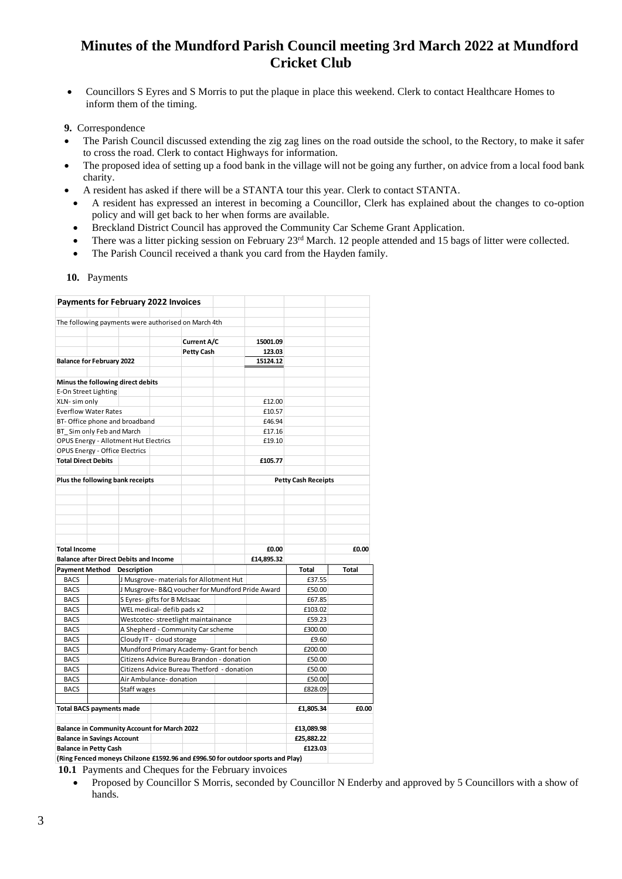- Councillors S Eyres and S Morris to put the plaque in place this weekend. Clerk to contact Healthcare Homes to inform them of the timing.
- **9.** Correspondence
- The Parish Council discussed extending the zig zag lines on the road outside the school, to the Rectory, to make it safer to cross the road. Clerk to contact Highways for information.
- The proposed idea of setting up a food bank in the village will not be going any further, on advice from a local food bank charity.
- A resident has asked if there will be a STANTA tour this year. Clerk to contact STANTA.
- A resident has expressed an interest in becoming a Councillor, Clerk has explained about the changes to co-option policy and will get back to her when forms are available.
- Breckland District Council has approved the Community Car Scheme Grant Application.
- There was a litter picking session on February 23rd March. 12 people attended and 15 bags of litter were collected.
- The Parish Council received a thank you card from the Hayden family.

 **10.** Payments

|                                                                  |  | <b>Payments for February 2022 Invoices</b> |                                                            |                                                     |                                            |                                                                                |                            |       |
|------------------------------------------------------------------|--|--------------------------------------------|------------------------------------------------------------|-----------------------------------------------------|--------------------------------------------|--------------------------------------------------------------------------------|----------------------------|-------|
|                                                                  |  |                                            |                                                            | The following payments were authorised on March 4th |                                            |                                                                                |                            |       |
|                                                                  |  |                                            |                                                            |                                                     |                                            |                                                                                |                            |       |
|                                                                  |  |                                            |                                                            | <b>Current A/C</b>                                  |                                            | 15001.09                                                                       |                            |       |
|                                                                  |  |                                            |                                                            | <b>Petty Cash</b>                                   |                                            | 123.03                                                                         |                            |       |
| <b>Balance for February 2022</b>                                 |  |                                            |                                                            |                                                     |                                            | 15124.12                                                                       |                            |       |
|                                                                  |  |                                            |                                                            |                                                     |                                            |                                                                                |                            |       |
|                                                                  |  | Minus the following direct debits          |                                                            |                                                     |                                            |                                                                                |                            |       |
| E-On Street Lighting                                             |  |                                            |                                                            |                                                     |                                            |                                                                                |                            |       |
| XLN- sim only                                                    |  |                                            |                                                            |                                                     |                                            | £12.00                                                                         |                            |       |
| <b>Everflow Water Rates</b>                                      |  |                                            |                                                            |                                                     |                                            | £10.57                                                                         |                            |       |
| BT- Office phone and broadband                                   |  |                                            |                                                            |                                                     |                                            | £46.94                                                                         |                            |       |
| BT Sim only Feb and March                                        |  |                                            |                                                            |                                                     | £17.16                                     |                                                                                |                            |       |
| OPUS Energy - Allotment Hut Electrics                            |  |                                            |                                                            |                                                     |                                            | £19.10                                                                         |                            |       |
| <b>OPUS Energy - Office Electrics</b>                            |  |                                            |                                                            |                                                     |                                            |                                                                                |                            |       |
| <b>Total Direct Debits</b>                                       |  |                                            |                                                            |                                                     |                                            | £105.77                                                                        |                            |       |
|                                                                  |  |                                            |                                                            |                                                     |                                            |                                                                                | <b>Petty Cash Receipts</b> |       |
| Plus the following bank receipts                                 |  |                                            |                                                            |                                                     |                                            |                                                                                |                            |       |
|                                                                  |  |                                            |                                                            |                                                     |                                            |                                                                                |                            |       |
|                                                                  |  |                                            |                                                            |                                                     |                                            |                                                                                |                            |       |
|                                                                  |  |                                            |                                                            |                                                     |                                            |                                                                                |                            |       |
|                                                                  |  |                                            |                                                            |                                                     |                                            |                                                                                |                            |       |
|                                                                  |  |                                            |                                                            |                                                     |                                            |                                                                                |                            |       |
| <b>Total Income</b>                                              |  |                                            |                                                            |                                                     |                                            | £0.00                                                                          |                            | £0.00 |
| <b>Balance after Direct Debits and Income</b>                    |  |                                            |                                                            |                                                     | £14,895.32                                 |                                                                                |                            |       |
| <b>Payment Method</b><br>Description                             |  |                                            |                                                            |                                                     |                                            |                                                                                | Total                      | Total |
| <b>BACS</b>                                                      |  |                                            |                                                            | J Musgrove- materials for Allotment Hut             |                                            |                                                                                | £37.55                     |       |
| <b>BACS</b>                                                      |  |                                            | J Musgrove- B&Q voucher for Mundford Pride Award<br>£50.00 |                                                     |                                            |                                                                                |                            |       |
| <b>BACS</b>                                                      |  | S Eyres- gifts for B McIsaac               |                                                            |                                                     |                                            |                                                                                | £67.85                     |       |
| <b>BACS</b>                                                      |  | WEL medical-defib pads x2                  |                                                            |                                                     |                                            |                                                                                | £103.02                    |       |
| <b>BACS</b>                                                      |  |                                            |                                                            | Westcotec-streetlight maintainance                  |                                            |                                                                                | £59.23                     |       |
| <b>BACS</b>                                                      |  | A Shepherd - Community Car scheme          |                                                            |                                                     |                                            | £300.00                                                                        |                            |       |
| <b>BACS</b>                                                      |  | Cloudy IT - cloud storage                  |                                                            |                                                     |                                            |                                                                                | £9.60                      |       |
| <b>BACS</b>                                                      |  |                                            |                                                            |                                                     | Mundford Primary Academy- Grant for bench  |                                                                                | £200.00                    |       |
| <b>BACS</b>                                                      |  | Citizens Advice Bureau Brandon - donation  |                                                            | £50.00                                              |                                            |                                                                                |                            |       |
| <b>BACS</b>                                                      |  |                                            |                                                            |                                                     | Citizens Advice Bureau Thetford - donation |                                                                                | £50.00                     |       |
| <b>BACS</b>                                                      |  |                                            |                                                            | Air Ambulance- donation<br>£50.00                   |                                            |                                                                                |                            |       |
| <b>BACS</b>                                                      |  | Staff wages                                |                                                            |                                                     |                                            |                                                                                | £828.09                    |       |
|                                                                  |  |                                            |                                                            |                                                     |                                            |                                                                                |                            | £0.00 |
| <b>Total BACS payments made</b>                                  |  |                                            |                                                            |                                                     |                                            | £1,805.34                                                                      |                            |       |
| <b>Balance in Community Account for March 2022</b><br>£13,089.98 |  |                                            |                                                            |                                                     |                                            |                                                                                |                            |       |
| <b>Balance in Savings Account</b>                                |  |                                            |                                                            |                                                     |                                            | £25,882.22                                                                     |                            |       |
| <b>Balance in Petty Cash</b>                                     |  |                                            |                                                            |                                                     |                                            | £123.03                                                                        |                            |       |
|                                                                  |  |                                            |                                                            |                                                     |                                            | (Ring Fenced moneys Chilzone £1592.96 and £996.50 for outdoor sports and Play) |                            |       |

**(Ring Fenced moneys Chilzone £1592.96 and £996.50 for outdoor sports and Play)**

**10.1** Payments and Cheques for the February invoices

• Proposed by Councillor S Morris, seconded by Councillor N Enderby and approved by 5 Councillors with a show of hands.